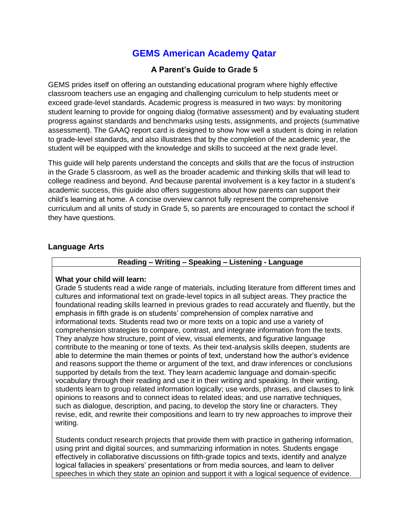## **GEMS American Academy Qatar**

## **A Parent's Guide to Grade 5**

GEMS prides itself on offering an outstanding educational program where highly effective classroom teachers use an engaging and challenging curriculum to help students meet or exceed grade-level standards. Academic progress is measured in two ways: by monitoring student learning to provide for ongoing dialog (formative assessment) and by evaluating student progress against standards and benchmarks using tests, assignments, and projects (summative assessment). The GAAQ report card is designed to show how well a student is doing in relation to grade-level standards, and also illustrates that by the completion of the academic year, the student will be equipped with the knowledge and skills to succeed at the next grade level.

This guide will help parents understand the concepts and skills that are the focus of instruction in the Grade 5 classroom, as well as the broader academic and thinking skills that will lead to college readiness and beyond. And because parental involvement is a key factor in a student's academic success, this guide also offers suggestions about how parents can support their child's learning at home. A concise overview cannot fully represent the comprehensive curriculum and all units of study in Grade 5, so parents are encouraged to contact the school if they have questions.

## **Language Arts**

## **Reading – Writing – Speaking – Listening - Language**

#### **What your child will learn:**

Grade 5 students read a wide range of materials, including literature from different times and cultures and informational text on grade-level topics in all subject areas. They practice the foundational reading skills learned in previous grades to read accurately and fluently, but the emphasis in fifth grade is on students' comprehension of complex narrative and informational texts. Students read two or more texts on a topic and use a variety of comprehension strategies to compare, contrast, and integrate information from the texts. They analyze how structure, point of view, visual elements, and figurative language contribute to the meaning or tone of texts. As their text-analysis skills deepen, students are able to determine the main themes or points of text, understand how the author's evidence and reasons support the theme or argument of the text, and draw inferences or conclusions supported by details from the text. They learn academic language and domain-specific vocabulary through their reading and use it in their writing and speaking. In their writing, students learn to group related information logically; use words, phrases, and clauses to link opinions to reasons and to connect ideas to related ideas; and use narrative techniques, such as dialogue, description, and pacing, to develop the story line or characters. They revise, edit, and rewrite their compositions and learn to try new approaches to improve their writing.

Students conduct research projects that provide them with practice in gathering information, using print and digital sources, and summarizing information in notes. Students engage effectively in collaborative discussions on fifth-grade topics and texts, identify and analyze logical fallacies in speakers' presentations or from media sources, and learn to deliver speeches in which they state an opinion and support it with a logical sequence of evidence.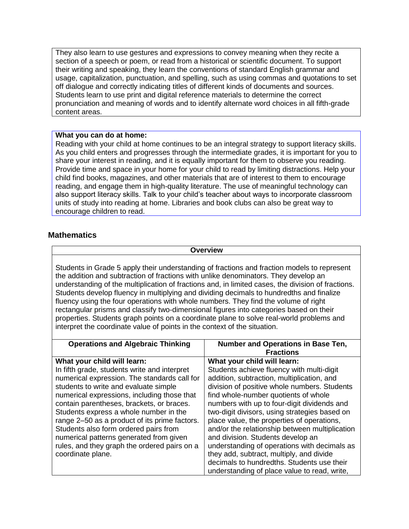They also learn to use gestures and expressions to convey meaning when they recite a section of a speech or poem, or read from a historical or scientific document. To support their writing and speaking, they learn the conventions of standard English grammar and usage, capitalization, punctuation, and spelling, such as using commas and quotations to set off dialogue and correctly indicating titles of different kinds of documents and sources. Students learn to use print and digital reference materials to determine the correct pronunciation and meaning of words and to identify alternate word choices in all fifth-grade content areas.

#### **What you can do at home:**

Reading with your child at home continues to be an integral strategy to support literacy skills. As you child enters and progresses through the intermediate grades, it is important for you to share your interest in reading, and it is equally important for them to observe you reading. Provide time and space in your home for your child to read by limiting distractions. Help your child find books, magazines, and other materials that are of interest to them to encourage reading, and engage them in high-quality literature. The use of meaningful technology can also support literacy skills. Talk to your child's teacher about ways to incorporate classroom units of study into reading at home. Libraries and book clubs can also be great way to encourage children to read.

## **Mathematics**

**Overview**

Students in Grade 5 apply their understanding of fractions and fraction models to represent the addition and subtraction of fractions with unlike denominators. They develop an understanding of the multiplication of fractions and, in limited cases, the division of fractions. Students develop fluency in multiplying and dividing decimals to hundredths and finalize fluency using the four operations with whole numbers. They find the volume of right rectangular prisms and classify two-dimensional figures into categories based on their properties. Students graph points on a coordinate plane to solve real-world problems and interpret the coordinate value of points in the context of the situation.

| <b>Operations and Algebraic Thinking</b>      | Number and Operations in Base Ten,             |
|-----------------------------------------------|------------------------------------------------|
|                                               | <b>Fractions</b>                               |
| What your child will learn:                   | What your child will learn:                    |
| In fifth grade, students write and interpret  | Students achieve fluency with multi-digit      |
| numerical expression. The standards call for  | addition, subtraction, multiplication, and     |
| students to write and evaluate simple         | division of positive whole numbers. Students   |
| numerical expressions, including those that   | find whole-number quotients of whole           |
| contain parentheses, brackets, or braces.     | numbers with up to four-digit dividends and    |
| Students express a whole number in the        | two-digit divisors, using strategies based on  |
| range 2-50 as a product of its prime factors. | place value, the properties of operations,     |
| Students also form ordered pairs from         | and/or the relationship between multiplication |
| numerical patterns generated from given       | and division. Students develop an              |
| rules, and they graph the ordered pairs on a  | understanding of operations with decimals as   |
| coordinate plane.                             | they add, subtract, multiply, and divide       |
|                                               | decimals to hundredths. Students use their     |
|                                               | understanding of place value to read, write,   |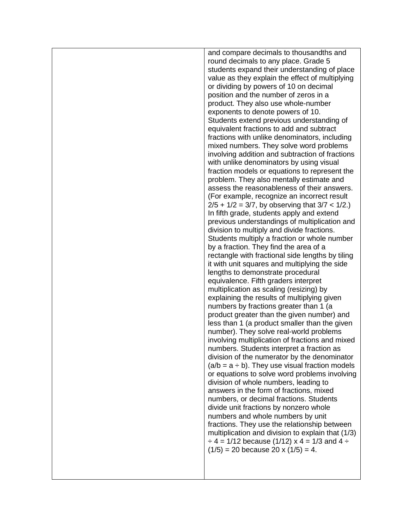and compare decimals to thousandths and round decimals to any place. Grade 5 students expand their understanding of place value as they explain the effect of multiplying or dividing by powers of 10 on decimal position and the number of zeros in a product. They also use whole-number exponents to denote powers of 10. Students extend previous understanding of equivalent fractions to add and subtract fractions with unlike denominators, including mixed numbers. They solve word problems involving addition and subtraction of fractions with unlike denominators by using visual fraction models or equations to represent the problem. They also mentally estimate and assess the reasonableness of their answers. (For example, recognize an incorrect result  $2/5 + 1/2 = 3/7$ , by observing that  $3/7 < 1/2$ . In fifth grade, students apply and extend previous understandings of multiplication and division to multiply and divide fractions. Students multiply a fraction or whole number by a fraction. They find the area of a rectangle with fractional side lengths by tiling it with unit squares and multiplying the side lengths to demonstrate procedural equivalence. Fifth graders interpret multiplication as scaling (resizing) by explaining the results of multiplying given numbers by fractions greater than 1 (a product greater than the given number) and less than 1 (a product smaller than the given number). They solve real-world problems involving multiplication of fractions and mixed numbers. Students interpret a fraction as division of the numerator by the denominator  $(a/b = a \div b)$ . They use visual fraction models or equations to solve word problems involving division of whole numbers, leading to answers in the form of fractions, mixed numbers, or decimal fractions. Students divide unit fractions by nonzero whole numbers and whole numbers by unit fractions. They use the relationship between multiplication and division to explain that (1/3)  $\div$  4 = 1/12 because (1/12) x 4 = 1/3 and 4  $\div$  $(1/5) = 20$  because 20 x  $(1/5) = 4$ .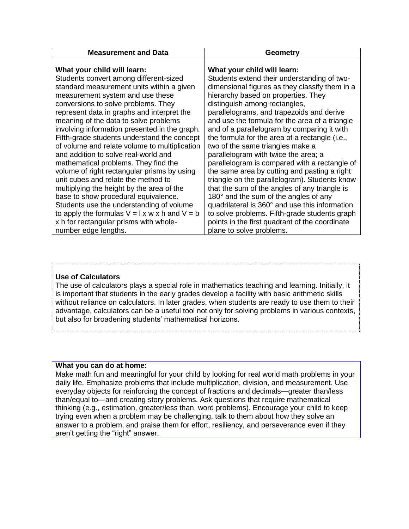| <b>Measurement and Data</b>                                 | Geometry                                       |
|-------------------------------------------------------------|------------------------------------------------|
|                                                             |                                                |
| What your child will learn:                                 | What your child will learn:                    |
| Students convert among different-sized                      | Students extend their understanding of two-    |
| standard measurement units within a given                   | dimensional figures as they classify them in a |
| measurement system and use these                            | hierarchy based on properties. They            |
| conversions to solve problems. They                         | distinguish among rectangles,                  |
| represent data in graphs and interpret the                  | parallelograms, and trapezoids and derive      |
| meaning of the data to solve problems                       | and use the formula for the area of a triangle |
| involving information presented in the graph.               | and of a parallelogram by comparing it with    |
| Fifth-grade students understand the concept                 | the formula for the area of a rectangle (i.e., |
| of volume and relate volume to multiplication               | two of the same triangles make a               |
| and addition to solve real-world and                        | parallelogram with twice the area; a           |
| mathematical problems. They find the                        | parallelogram is compared with a rectangle of  |
| volume of right rectangular prisms by using                 | the same area by cutting and pasting a right   |
| unit cubes and relate the method to                         | triangle on the parallelogram). Students know  |
| multiplying the height by the area of the                   | that the sum of the angles of any triangle is  |
| base to show procedural equivalence.                        | 180° and the sum of the angles of any          |
| Students use the understanding of volume                    | quadrilateral is 360° and use this information |
| to apply the formulas $V = I \times w \times h$ and $V = b$ | to solve problems. Fifth-grade students graph  |
| x h for rectangular prisms with whole-                      | points in the first quadrant of the coordinate |
| number edge lengths.                                        | plane to solve problems.                       |

## **Use of Calculators**

The use of calculators plays a special role in mathematics teaching and learning. Initially, it is important that students in the early grades develop a facility with basic arithmetic skills without reliance on calculators. In later grades, when students are ready to use them to their advantage, calculators can be a useful tool not only for solving problems in various contexts, but also for broadening students' mathematical horizons.

#### **What you can do at home:**

Make math fun and meaningful for your child by looking for real world math problems in your daily life. Emphasize problems that include multiplication, division, and measurement. Use everyday objects for reinforcing the concept of fractions and decimals—greater than/less than/equal to—and creating story problems. Ask questions that require mathematical thinking (e.g., estimation, greater/less than, word problems). Encourage your child to keep trying even when a problem may be challenging, talk to them about how they solve an answer to a problem, and praise them for effort, resiliency, and perseverance even if they aren't getting the "right" answer.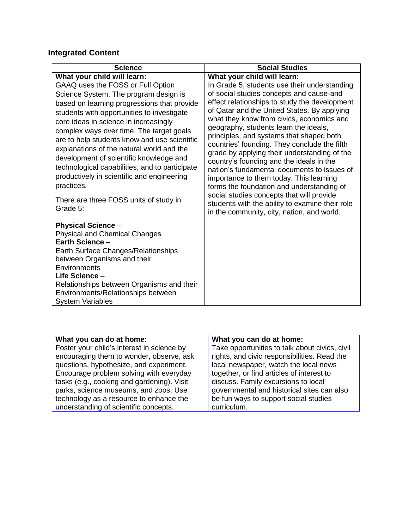# **Integrated Content**

| <b>Science</b>                                                                                                                                                                                                                                                                                                                                                                                                                                                                                                                                    | <b>Social Studies</b>                                                                                                                                                                                                                                                                                                                                                                                                                                                                                                                                                                                                                                                                     |
|---------------------------------------------------------------------------------------------------------------------------------------------------------------------------------------------------------------------------------------------------------------------------------------------------------------------------------------------------------------------------------------------------------------------------------------------------------------------------------------------------------------------------------------------------|-------------------------------------------------------------------------------------------------------------------------------------------------------------------------------------------------------------------------------------------------------------------------------------------------------------------------------------------------------------------------------------------------------------------------------------------------------------------------------------------------------------------------------------------------------------------------------------------------------------------------------------------------------------------------------------------|
| What your child will learn:<br>GAAQ uses the FOSS or Full Option<br>Science System. The program design is<br>based on learning progressions that provide<br>students with opportunities to investigate<br>core ideas in science in increasingly<br>complex ways over time. The target goals<br>are to help students know and use scientific<br>explanations of the natural world and the<br>development of scientific knowledge and<br>technological capabilities, and to participate<br>productively in scientific and engineering<br>practices. | What your child will learn:<br>In Grade 5, students use their understanding<br>of social studies concepts and cause-and<br>effect relationships to study the development<br>of Qatar and the United States. By applying<br>what they know from civics, economics and<br>geography, students learn the ideals,<br>principles, and systems that shaped both<br>countries' founding. They conclude the fifth<br>grade by applying their understanding of the<br>country's founding and the ideals in the<br>nation's fundamental documents to issues of<br>importance to them today. This learning<br>forms the foundation and understanding of<br>social studies concepts that will provide |
| There are three FOSS units of study in<br>Grade 5:<br><b>Physical Science -</b><br><b>Physical and Chemical Changes</b><br>Earth Science -<br>Earth Surface Changes/Relationships<br>between Organisms and their<br>Environments<br>Life Science –<br>Relationships between Organisms and their<br>Environments/Relationships between<br><b>System Variables</b>                                                                                                                                                                                  | students with the ability to examine their role<br>in the community, city, nation, and world.                                                                                                                                                                                                                                                                                                                                                                                                                                                                                                                                                                                             |

| What you can do at home:                   | What you can do at home:                       |
|--------------------------------------------|------------------------------------------------|
| Foster your child's interest in science by | Take opportunities to talk about civics, civil |
| encouraging them to wonder, observe, ask   | rights, and civic responsibilities. Read the   |
| questions, hypothesize, and experiment.    | local newspaper, watch the local news          |
| Encourage problem solving with everyday    | together, or find articles of interest to      |
| tasks (e.g., cooking and gardening). Visit | discuss. Family excursions to local            |
| parks, science museums, and zoos. Use      | governmental and historical sites can also     |
| technology as a resource to enhance the    | be fun ways to support social studies          |
| understanding of scientific concepts.      | curriculum.                                    |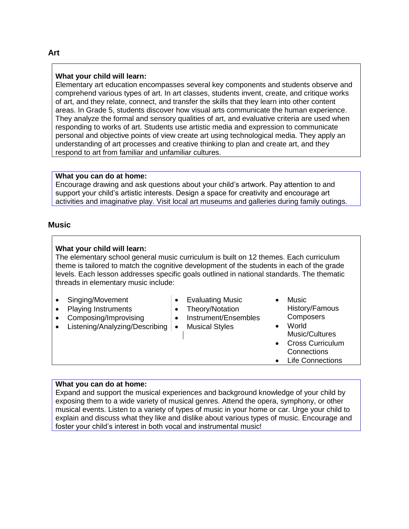#### **What your child will learn:**

Elementary art education encompasses several key components and students observe and comprehend various types of art. In art classes, students invent, create, and critique works of art, and they relate, connect, and transfer the skills that they learn into other content areas. In Grade 5, students discover how visual arts communicate the human experience. They analyze the formal and sensory qualities of art, and evaluative criteria are used when responding to works of art. Students use artistic media and expression to communicate personal and objective points of view create art using technological media. They apply an understanding of art processes and creative thinking to plan and create art, and they respond to art from familiar and unfamiliar cultures.

#### **What you can do at home:**

Encourage drawing and ask questions about your child's artwork. Pay attention to and support your child's artistic interests. Design a space for creativity and encourage art activities and imaginative play. Visit local art museums and galleries during family outings.

## **Music**

#### **What your child will learn:**

The elementary school general music curriculum is built on 12 themes. Each curriculum theme is tailored to match the cognitive development of the students in each of the grade levels. Each lesson addresses specific goals outlined in national standards. The thematic threads in elementary music include:

- Singing/Movement
- Playing Instruments
- Composing/Improvising
- Listening/Analyzing/Describing | Musical Styles
- Evaluating Music
- Theory/Notation
- Instrument/Ensembles
	-
- Music History/Famous **Composers**
- World Music/Cultures
- Cross Curriculum **Connections**
- Life Connections

#### **What you can do at home:**

Expand and support the musical experiences and background knowledge of your child by exposing them to a wide variety of musical genres. Attend the opera, symphony, or other musical events. Listen to a variety of types of music in your home or car. Urge your child to explain and discuss what they like and dislike about various types of music. Encourage and foster your child's interest in both vocal and instrumental music!